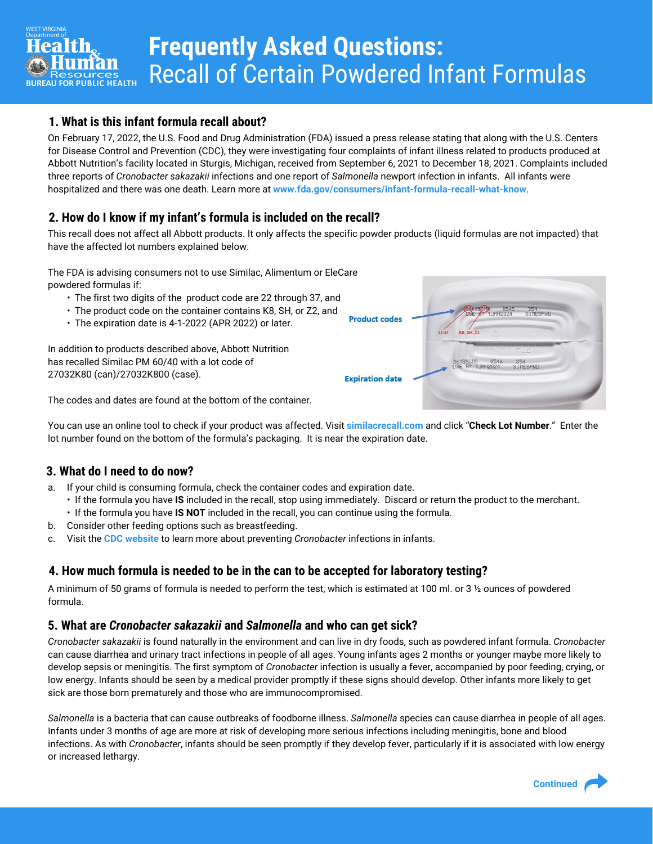# **Frequently Asked Questions:**  Recall of Certain Powdered Infant Formulas

# **1. What is this infant formula recall about?**

On February 17, 2022, the U.S. Food and Drug Administration (FDA) issued a press release stating that along with the U.S. Centers for Disease Control and Prevention (CDC), they were investigating four complaints of infant illness related to products produced at Abbott Nutrition's facility located in Sturgis, Michigan, received from September 6, 2021 to December 18, 2021. Complaints included three reports of *Cronobacter sakazakii* infections and one report of *Salmonella* newport infection in infants. All infants were hospitalized and there was one death. Learn more at **[www.fda.gov/consumers/infant-formula-recall-what-know](https://www.fda.gov/consumers/infant-formula-recall-what-know)**.

# **2. How do I know if my infant's formula is included on the recall?**

This recall does not affect all Abbott products. It only affects the specific powder products (liquid formulas are not impacted) that have the affected lot numbers explained below.

The FDA is advising consumers not to use Similac, Alimentum or EleCare powdered formulas if:

- The first two digits of the product code are 22 through 37, and
- The product code on the container contains K8, SH, or Z2, and
- The expiration date is 4-1-2022 (APR 2022) or later.

In addition to products described above, Abbott Nutrition has recalled Similac PM 60/40 with a lot code of 27032K80 (can)/27032K800 (case).

The codes and dates are found at the bottom of the container.

You can use an online tool to check if your product was affected. Visit **[similacrecall.com](https://www.similacrecall.com/us/en/home.html?gclid=Cj0KCQiAmeKQBhDvARIsAHJ7mF69z6Ono4FNS9mqEVT57WGglXqXk9UnEnbYMQJX5WMC-hBJCxaFe_8aAkBlEALw_wcB&gclsrc=aw.ds)** and click "**Check Lot Number**." Enter the lot number found on the bottom of the formula's packaging. It is near the expiration date.

# **3. What do I need to do now?**

- a. If your child is consuming formula, check the container codes and expiration date.
	- If the formula you have **IS** included in the recall, stop using immediately. Discard or return the product to the merchant. • If the formula you have **IS NOT** included in the recall, you can continue using the formula.
- b. Consider other feeding options such as breastfeeding.
- c. Visit the **[CDC website](https://www.cdc.gov/cronobacter/prevention.html)** to learn more about preventing *Cronobacter* infections in infants.

# **4. How much formula is needed to be in the can to be accepted for laboratory testing?**

A minimum of 50 grams of formula is needed to perform the test, which is estimated at 100 ml. or 3 ½ ounces of powdered formula.

## **5. What are** *Cronobacter sakazakii* **and** *Salmonella* **and who can get sick?**

*Cronobacter sakazakii* is found naturally in the environment and can live in dry foods, such as powdered infant formula. *Cronobacter* can cause diarrhea and urinary tract infections in people of all ages. Young infants ages 2 months or younger maybe more likely to develop sepsis or meningitis. The first symptom of *Cronobacter* infection is usually a fever, accompanied by poor feeding, crying, or low energy. Infants should be seen by a medical provider promptly if these signs should develop. Other infants more likely to get sick are those born prematurely and those who are immunocompromised.

*Salmonella* is a bacteria that can cause outbreaks of foodborne illness. *Salmonella* species can cause diarrhea in people of all ages. Infants under 3 months of age are more at risk of developing more serious infections including meningitis, bone and blood infections. As with *Cronobacter*, infants should be seen promptly if they develop fever, particularly if it is associated with low energy or increased lethargy.